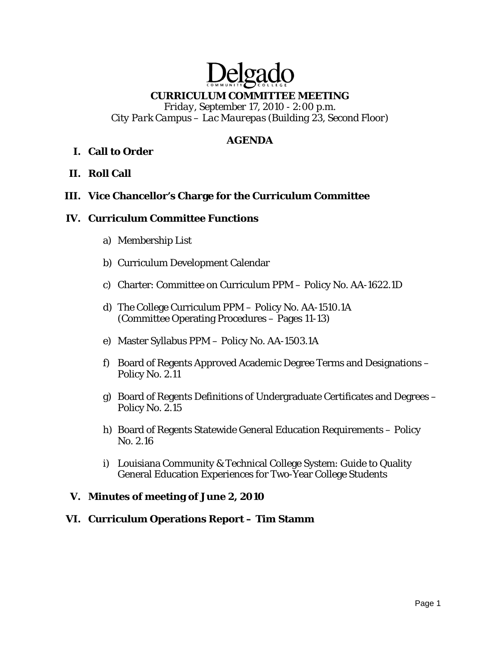# Delga **CURRICULUM COMMITTEE MEETING**

*Friday, September 17, 2010 - 2:00 p.m. City Park Campus – Lac Maurepas (Building 23, Second Floor)* 

# **AGENDA**

# **I. Call to Order**

**II. Roll Call** 

## **III. Vice Chancellor's Charge for the Curriculum Committee**

#### **IV. Curriculum Committee Functions**

- a) Membership List
- b) Curriculum Development Calendar
- c) Charter: Committee on Curriculum PPM Policy No. AA-1622.1D
- d) The College Curriculum PPM Policy No. AA-1510.1A (Committee Operating Procedures – Pages 11-13)
- e) Master Syllabus PPM Policy No. AA-1503.1A
- f) Board of Regents Approved Academic Degree Terms and Designations Policy No. 2.11
- g) Board of Regents Definitions of Undergraduate Certificates and Degrees Policy No. 2.15
- h) Board of Regents Statewide General Education Requirements Policy No. 2.16
- i) Louisiana Community & Technical College System: Guide to Quality General Education Experiences for Two-Year College Students

## **V. Minutes of meeting of June 2, 2010**

## **VI. Curriculum Operations Report – Tim Stamm**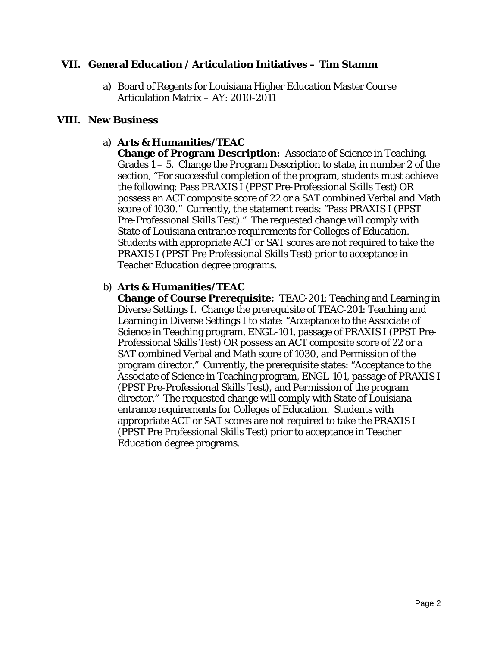## **VII. General Education / Articulation Initiatives – Tim Stamm**

a) Board of Regents for Louisiana Higher Education Master Course Articulation Matrix – AY: 2010-2011

#### **VIII. New Business**

## a) **Arts & Humanities/TEAC**

**Change of Program Description:** Associate of Science in Teaching, Grades  $1 - 5$ . Change the Program Description to state, in number 2 of the section, "For successful completion of the program, students must achieve the following: Pass PRAXIS I (PPST Pre-Professional Skills Test) OR possess an ACT composite score of 22 or a SAT combined Verbal and Math score of 1030." Currently, the statement reads: "Pass PRAXIS I (PPST Pre-Professional Skills Test)." The requested change will comply with State of Louisiana entrance requirements for Colleges of Education. Students with appropriate ACT or SAT scores are not required to take the PRAXIS I (PPST Pre Professional Skills Test) prior to acceptance in Teacher Education degree programs.

#### b) **Arts & Humanities/TEAC**

**Change of Course Prerequisite:** TEAC-201: Teaching and Learning in Diverse Settings I. Change the prerequisite of TEAC-201: Teaching and Learning in Diverse Settings I to state: "Acceptance to the Associate of Science in Teaching program, ENGL-101, passage of PRAXIS I (PPST Pre-Professional Skills Test) OR possess an ACT composite score of 22 or a SAT combined Verbal and Math score of 1030, and Permission of the program director." Currently, the prerequisite states: "Acceptance to the Associate of Science in Teaching program, ENGL-101, passage of PRAXIS I (PPST Pre-Professional Skills Test), and Permission of the program director." The requested change will comply with State of Louisiana entrance requirements for Colleges of Education. Students with appropriate ACT or SAT scores are not required to take the PRAXIS I (PPST Pre Professional Skills Test) prior to acceptance in Teacher Education degree programs.